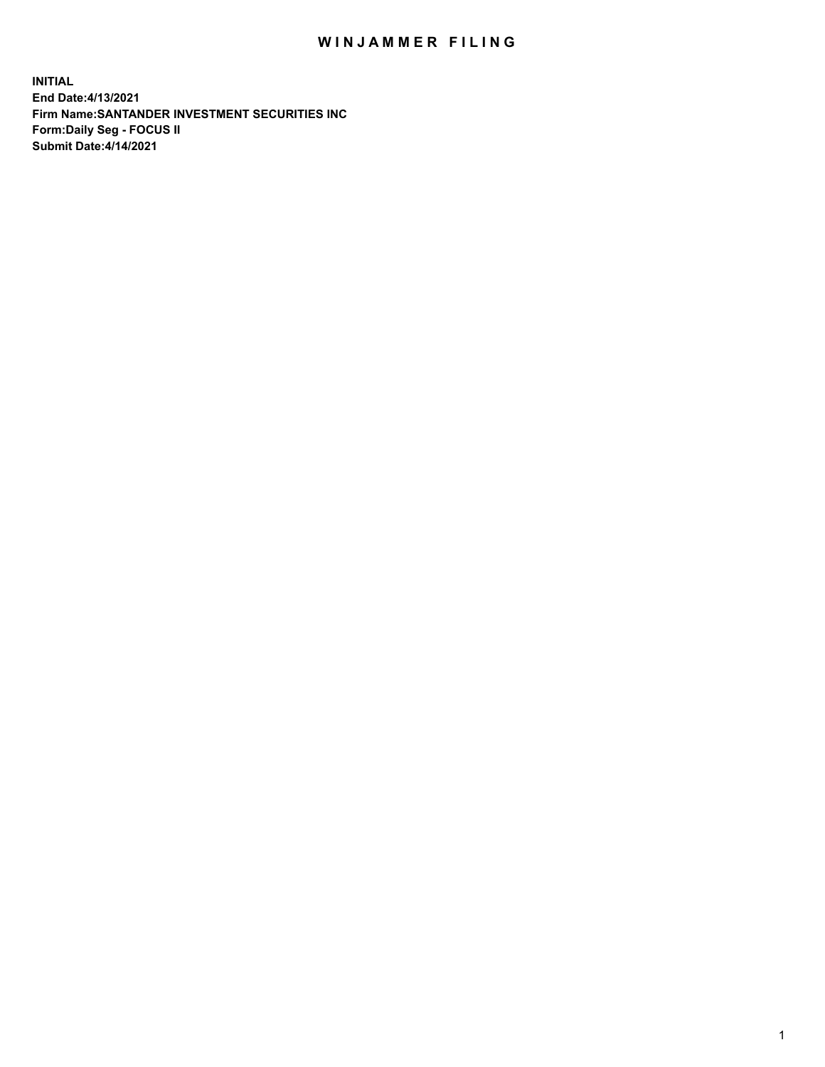## WIN JAMMER FILING

**INITIAL End Date:4/13/2021 Firm Name:SANTANDER INVESTMENT SECURITIES INC Form:Daily Seg - FOCUS II Submit Date:4/14/2021**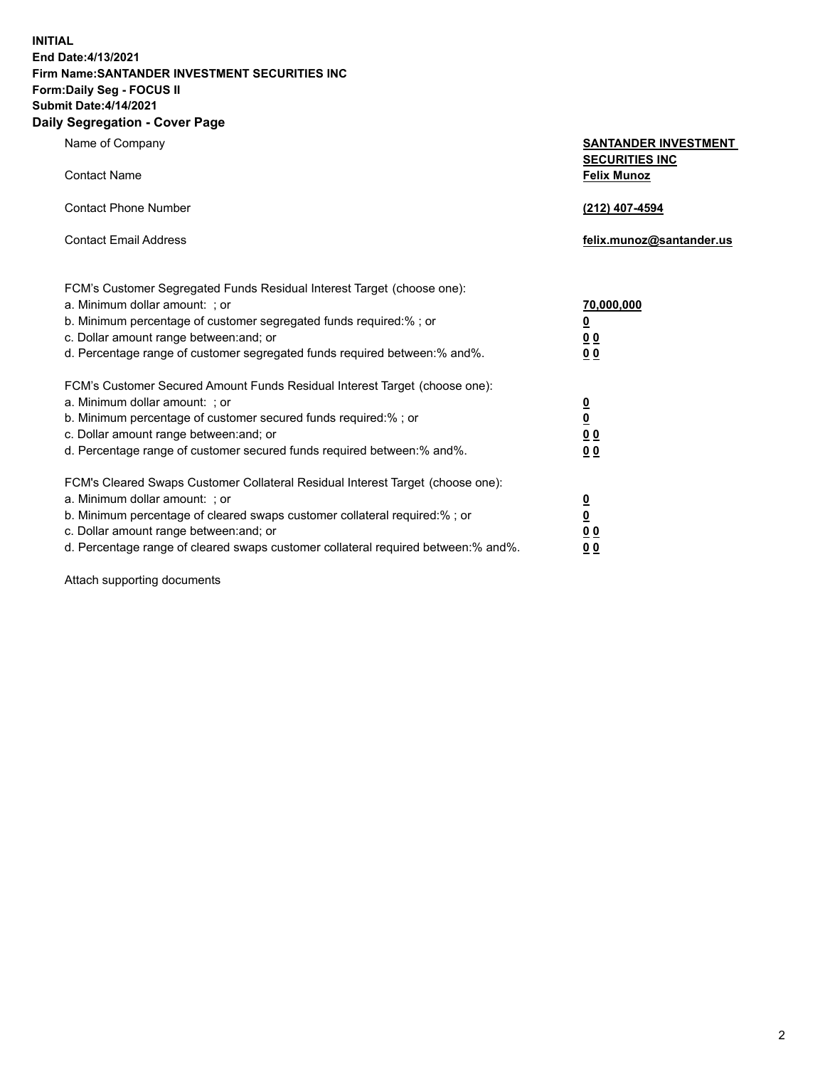**INITIAL End Date:4/13/2021 Firm Name:SANTANDER INVESTMENT SECURITIES INC Form:Daily Seg - FOCUS II Submit Date:4/14/2021 Daily Segregation - Cover Page**

| Name of Company                                                                   | <b>SANTANDER INVESTMENT</b><br><b>SECURITIES INC</b> |
|-----------------------------------------------------------------------------------|------------------------------------------------------|
| <b>Contact Name</b>                                                               | <b>Felix Munoz</b>                                   |
| <b>Contact Phone Number</b>                                                       | (212) 407-4594                                       |
| <b>Contact Email Address</b>                                                      | felix.munoz@santander.us                             |
| FCM's Customer Segregated Funds Residual Interest Target (choose one):            |                                                      |
| a. Minimum dollar amount: ; or                                                    | 70,000,000                                           |
| b. Minimum percentage of customer segregated funds required:%; or                 | <u>0</u>                                             |
| c. Dollar amount range between: and; or                                           | 0 <sub>0</sub>                                       |
| d. Percentage range of customer segregated funds required between:% and%.         | 0 <sub>0</sub>                                       |
| FCM's Customer Secured Amount Funds Residual Interest Target (choose one):        |                                                      |
| a. Minimum dollar amount: ; or                                                    | $\frac{0}{0}$                                        |
| b. Minimum percentage of customer secured funds required:%; or                    |                                                      |
| c. Dollar amount range between: and; or                                           | 0 <sub>0</sub>                                       |
| d. Percentage range of customer secured funds required between:% and%.            | 0 <sub>0</sub>                                       |
| FCM's Cleared Swaps Customer Collateral Residual Interest Target (choose one):    |                                                      |
| a. Minimum dollar amount: ; or                                                    | $\overline{\mathbf{0}}$                              |
| b. Minimum percentage of cleared swaps customer collateral required:% ; or        | $\underline{\mathbf{0}}$                             |
| c. Dollar amount range between: and; or                                           | 0 <sub>0</sub>                                       |
| d. Percentage range of cleared swaps customer collateral required between:% and%. | <u>00</u>                                            |

Attach supporting documents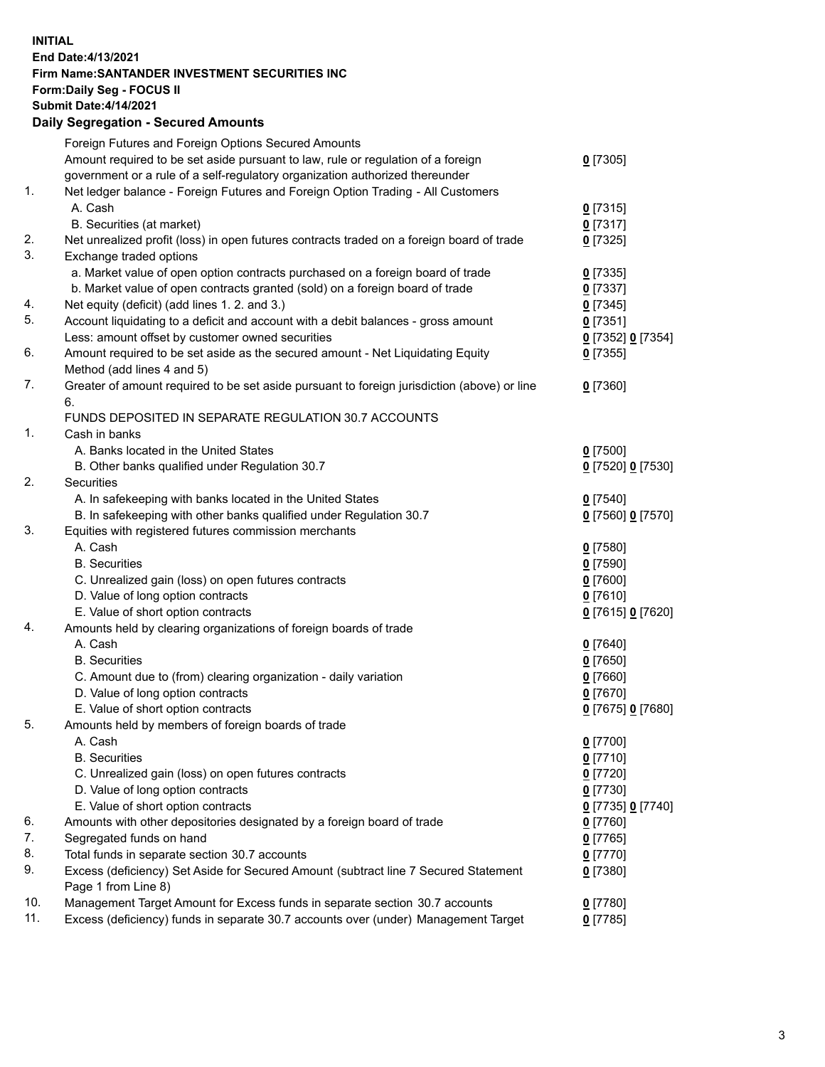**INITIAL End Date:4/13/2021 Firm Name:SANTANDER INVESTMENT SECURITIES INC Form:Daily Seg - FOCUS II Submit Date:4/14/2021 Daily Segregation - Secured Amounts**

|     | Foreign Futures and Foreign Options Secured Amounts                                         |                   |
|-----|---------------------------------------------------------------------------------------------|-------------------|
|     | Amount required to be set aside pursuant to law, rule or regulation of a foreign            | $0$ [7305]        |
|     | government or a rule of a self-regulatory organization authorized thereunder                |                   |
| 1.  | Net ledger balance - Foreign Futures and Foreign Option Trading - All Customers             |                   |
|     | A. Cash                                                                                     | $0$ [7315]        |
|     | B. Securities (at market)                                                                   | $0$ [7317]        |
| 2.  | Net unrealized profit (loss) in open futures contracts traded on a foreign board of trade   | $0$ [7325]        |
| 3.  | Exchange traded options                                                                     |                   |
|     | a. Market value of open option contracts purchased on a foreign board of trade              | $0$ [7335]        |
|     | b. Market value of open contracts granted (sold) on a foreign board of trade                | $0$ [7337]        |
| 4.  | Net equity (deficit) (add lines 1. 2. and 3.)                                               | $0$ [7345]        |
| 5.  | Account liquidating to a deficit and account with a debit balances - gross amount           | $0$ [7351]        |
|     | Less: amount offset by customer owned securities                                            | 0 [7352] 0 [7354] |
| 6.  | Amount required to be set aside as the secured amount - Net Liquidating Equity              | $0$ [7355]        |
|     | Method (add lines 4 and 5)                                                                  |                   |
| 7.  | Greater of amount required to be set aside pursuant to foreign jurisdiction (above) or line | $0$ [7360]        |
|     | 6.                                                                                          |                   |
|     | FUNDS DEPOSITED IN SEPARATE REGULATION 30.7 ACCOUNTS                                        |                   |
| 1.  | Cash in banks                                                                               |                   |
|     | A. Banks located in the United States                                                       | $0$ [7500]        |
|     | B. Other banks qualified under Regulation 30.7                                              | 0 [7520] 0 [7530] |
| 2.  | <b>Securities</b>                                                                           |                   |
|     | A. In safekeeping with banks located in the United States                                   | $0$ [7540]        |
|     | B. In safekeeping with other banks qualified under Regulation 30.7                          | 0 [7560] 0 [7570] |
| 3.  | Equities with registered futures commission merchants                                       |                   |
|     | A. Cash                                                                                     | $0$ [7580]        |
|     | <b>B.</b> Securities                                                                        | $0$ [7590]        |
|     | C. Unrealized gain (loss) on open futures contracts                                         | $0$ [7600]        |
|     | D. Value of long option contracts                                                           | $0$ [7610]        |
|     | E. Value of short option contracts                                                          | 0 [7615] 0 [7620] |
| 4.  | Amounts held by clearing organizations of foreign boards of trade                           |                   |
|     | A. Cash                                                                                     | $0$ [7640]        |
|     | <b>B.</b> Securities                                                                        | $0$ [7650]        |
|     | C. Amount due to (from) clearing organization - daily variation                             | $0$ [7660]        |
|     | D. Value of long option contracts                                                           | $0$ [7670]        |
|     | E. Value of short option contracts                                                          | 0 [7675] 0 [7680] |
| 5.  | Amounts held by members of foreign boards of trade                                          |                   |
|     | A. Cash                                                                                     | 0 [7700]          |
|     | <b>B.</b> Securities                                                                        | $0$ [7710]        |
|     | C. Unrealized gain (loss) on open futures contracts                                         | $0$ [7720]        |
|     | D. Value of long option contracts                                                           | $0$ [7730]        |
|     | E. Value of short option contracts                                                          | 0 [7735] 0 [7740] |
| 6.  | Amounts with other depositories designated by a foreign board of trade                      | $0$ [7760]        |
| 7.  | Segregated funds on hand                                                                    | $0$ [7765]        |
| 8.  | Total funds in separate section 30.7 accounts                                               | $0$ [7770]        |
| 9.  | Excess (deficiency) Set Aside for Secured Amount (subtract line 7 Secured Statement         | $0$ [7380]        |
|     | Page 1 from Line 8)                                                                         |                   |
| 10. | Management Target Amount for Excess funds in separate section 30.7 accounts                 | $0$ [7780]        |
| 11. | Excess (deficiency) funds in separate 30.7 accounts over (under) Management Target          | $0$ [7785]        |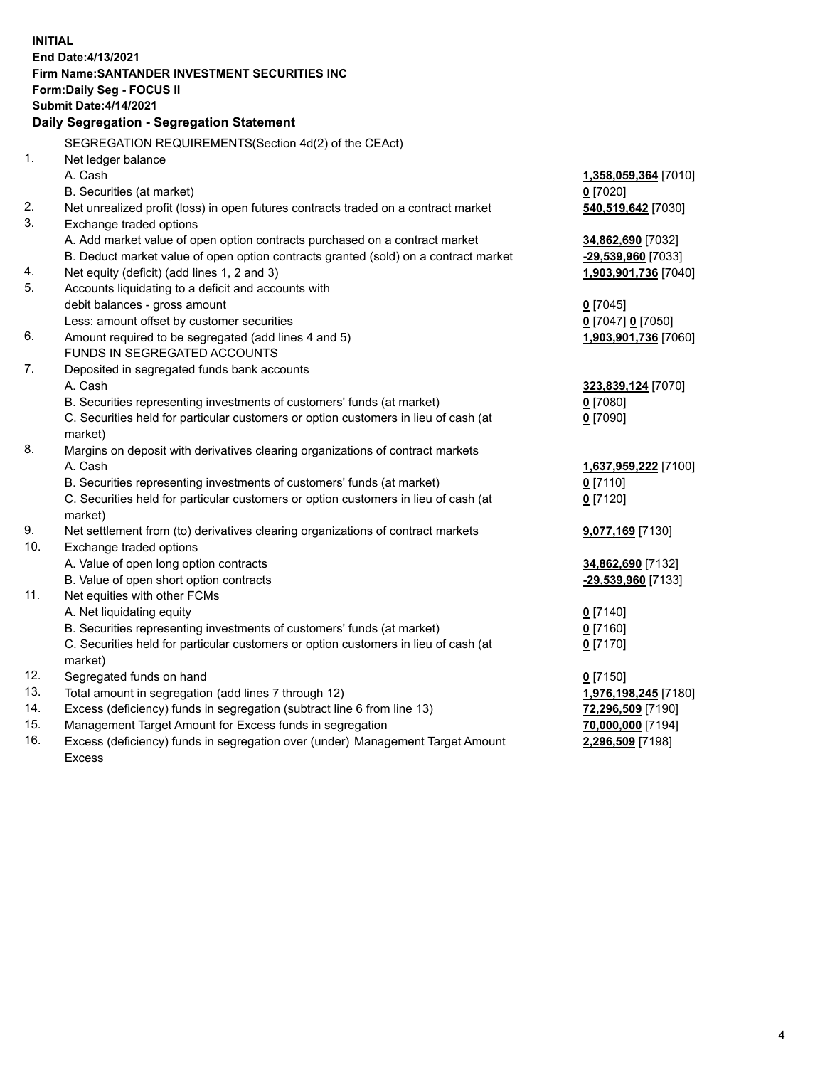| End Date: 4/13/2021<br>Firm Name: SANTANDER INVESTMENT SECURITIES INC                                                                                                                      |  |
|--------------------------------------------------------------------------------------------------------------------------------------------------------------------------------------------|--|
| <b>Form:Daily Seg - FOCUS II</b>                                                                                                                                                           |  |
| <b>Submit Date:4/14/2021</b>                                                                                                                                                               |  |
| Daily Segregation - Segregation Statement                                                                                                                                                  |  |
| SEGREGATION REQUIREMENTS(Section 4d(2) of the CEAct)                                                                                                                                       |  |
| 1.<br>Net ledger balance                                                                                                                                                                   |  |
| A. Cash<br>1,358,059,364 [7010]                                                                                                                                                            |  |
| B. Securities (at market)<br>$0$ [7020]                                                                                                                                                    |  |
| 2.<br>Net unrealized profit (loss) in open futures contracts traded on a contract market<br>540,519,642 [7030]                                                                             |  |
| 3.<br>Exchange traded options                                                                                                                                                              |  |
| A. Add market value of open option contracts purchased on a contract market<br>34,862,690 [7032]                                                                                           |  |
| B. Deduct market value of open option contracts granted (sold) on a contract market<br>-29,539,960 [7033]                                                                                  |  |
| Net equity (deficit) (add lines 1, 2 and 3)<br>4.<br>1,903,901,736 [7040]                                                                                                                  |  |
| 5.<br>Accounts liquidating to a deficit and accounts with                                                                                                                                  |  |
| debit balances - gross amount<br>$0$ [7045]                                                                                                                                                |  |
| Less: amount offset by customer securities<br>0 [7047] 0 [7050]                                                                                                                            |  |
| 6.<br>Amount required to be segregated (add lines 4 and 5)<br>1,903,901,736 [7060]                                                                                                         |  |
| FUNDS IN SEGREGATED ACCOUNTS                                                                                                                                                               |  |
| 7.<br>Deposited in segregated funds bank accounts                                                                                                                                          |  |
| A. Cash<br>323,839,124 [7070]                                                                                                                                                              |  |
| B. Securities representing investments of customers' funds (at market)<br>$0$ [7080]                                                                                                       |  |
| C. Securities held for particular customers or option customers in lieu of cash (at<br>$0$ [7090]                                                                                          |  |
| market)                                                                                                                                                                                    |  |
| 8.<br>Margins on deposit with derivatives clearing organizations of contract markets                                                                                                       |  |
| A. Cash<br>1,637,959,222 [7100]                                                                                                                                                            |  |
| B. Securities representing investments of customers' funds (at market)<br>$0$ [7110]                                                                                                       |  |
| C. Securities held for particular customers or option customers in lieu of cash (at<br>$0$ [7120]                                                                                          |  |
| market)                                                                                                                                                                                    |  |
| 9.<br>Net settlement from (to) derivatives clearing organizations of contract markets<br>9,077,169 [7130]                                                                                  |  |
| 10.<br>Exchange traded options                                                                                                                                                             |  |
| A. Value of open long option contracts<br>34,862,690 [7132]                                                                                                                                |  |
| B. Value of open short option contracts<br>-29,539,960 [7133]                                                                                                                              |  |
| 11.<br>Net equities with other FCMs                                                                                                                                                        |  |
| A. Net liquidating equity<br>$0$ [7140]                                                                                                                                                    |  |
| B. Securities representing investments of customers' funds (at market)<br>$0$ [7160]                                                                                                       |  |
| C. Securities held for particular customers or option customers in lieu of cash (at<br>$0$ [7170]                                                                                          |  |
| market)                                                                                                                                                                                    |  |
| 12.<br>Segregated funds on hand<br>$0$ [7150]<br>13.                                                                                                                                       |  |
| Total amount in segregation (add lines 7 through 12)<br>1,976,198,245 [7180]<br>14.                                                                                                        |  |
| Excess (deficiency) funds in segregation (subtract line 6 from line 13)<br>72,296,509 [7190]<br>15.                                                                                        |  |
| Management Target Amount for Excess funds in segregation<br>70,000,000 [7194]<br>16.<br>Excess (deficiency) funds in segregation over (under) Management Target Amount<br>2,296,509 [7198] |  |
| Excess                                                                                                                                                                                     |  |